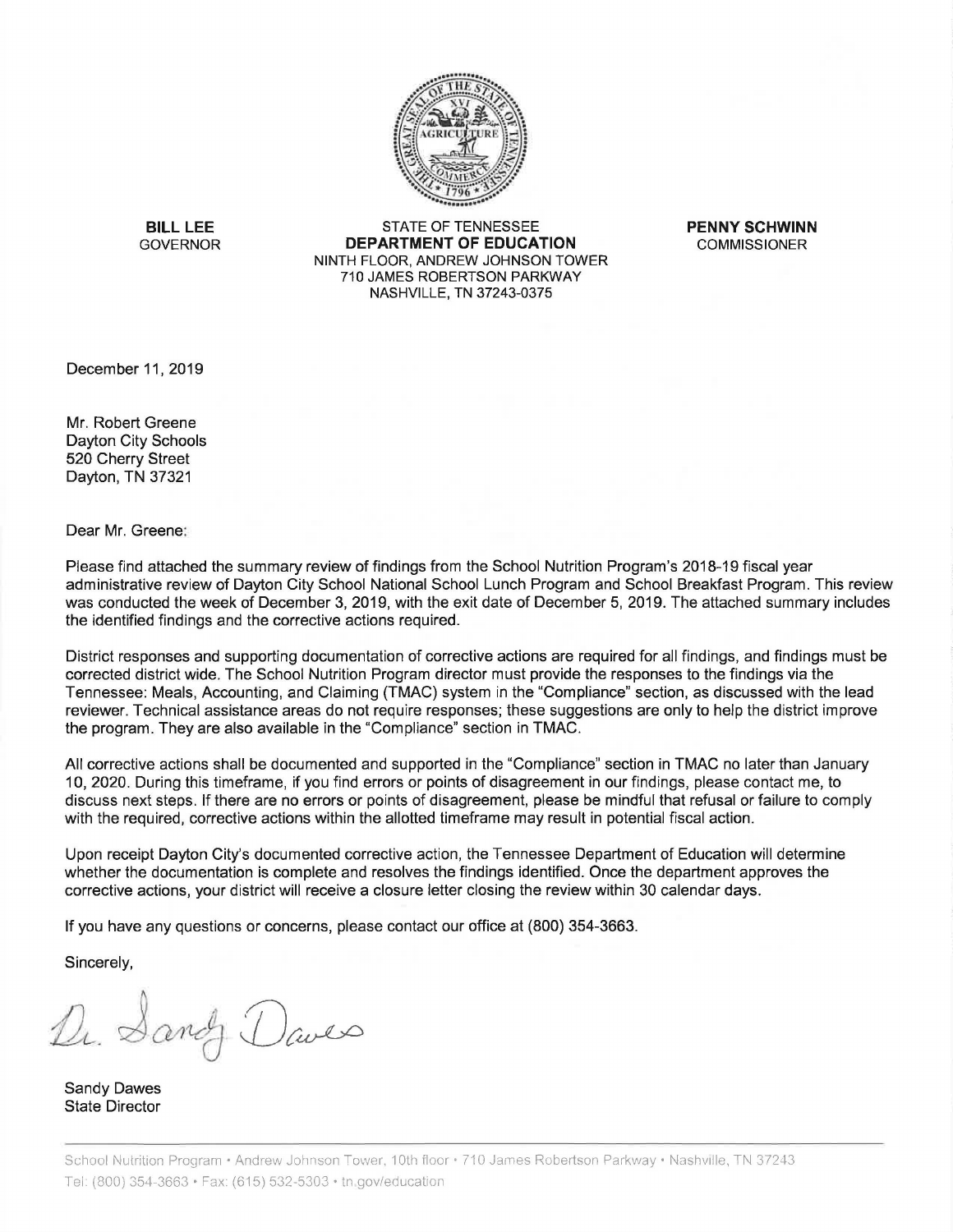

**BILL LEE** STATE OF TENNESSEE **PENNY SCHWINN**  GOVERNOR **DEPARTMENT OF EDUCATION** COMMISSIONER NINTH FLOOR, ANDREW JOHNSON TOWER 710 JAMES ROBERTSON PARKWAY NASHVILLE, TN 37243-0375

December 11, 2019

Mr. Robert Greene Dayton City Schools 520 Cherry Street Dayton, TN 37321

Dear Mr. Greene:

Please find attached the summary review of findings from the School Nutrition Program's 2018-19 fiscal year administrative review of Dayton City School National School Lunch Program and School Breakfast Program. This review was conducted the week of December 3, 2019, with the exit date of December 5, 2019. The attached summary includes the identified findings and the corrective actions required.

District responses and supporting documentation of corrective actions are required for all findings, and findings must be corrected district wide. The School Nutrition Program director must provide the responses to the findings via the Tennessee: Meals, Accounting, and Claiming {TMAC) system in the "Compliance" section, as discussed with the lead reviewer. Technical assistance areas do not require responses; these suggestions are only to help the district improve the program. They are also available in the "Compliance" section in TMAC.

All corrective actions shall be documented and supported in the "Compliance" section in TMAC no later than January 10, 2020. During this timeframe, if you find errors or points of disagreement in our findings, please contact me, to discuss next steps. If there are no errors or points of disagreement, please be mindful that refusal or failure to comply with the required, corrective actions within the allotted timeframe may result in potential fiscal action.

Upon receipt Dayton City's documented corrective action, the Tennessee Department of Education will determine whether the documentation is complete and resolves the findings identified. Once the department approves the corrective actions, your district will receive a closure letter closing the review within 30 calendar days.

If you have any questions or concerns, please contact our office at (800) 354-3663.

Sincerely,

Dr. Sandy Daves

Sandy Dawes State Director